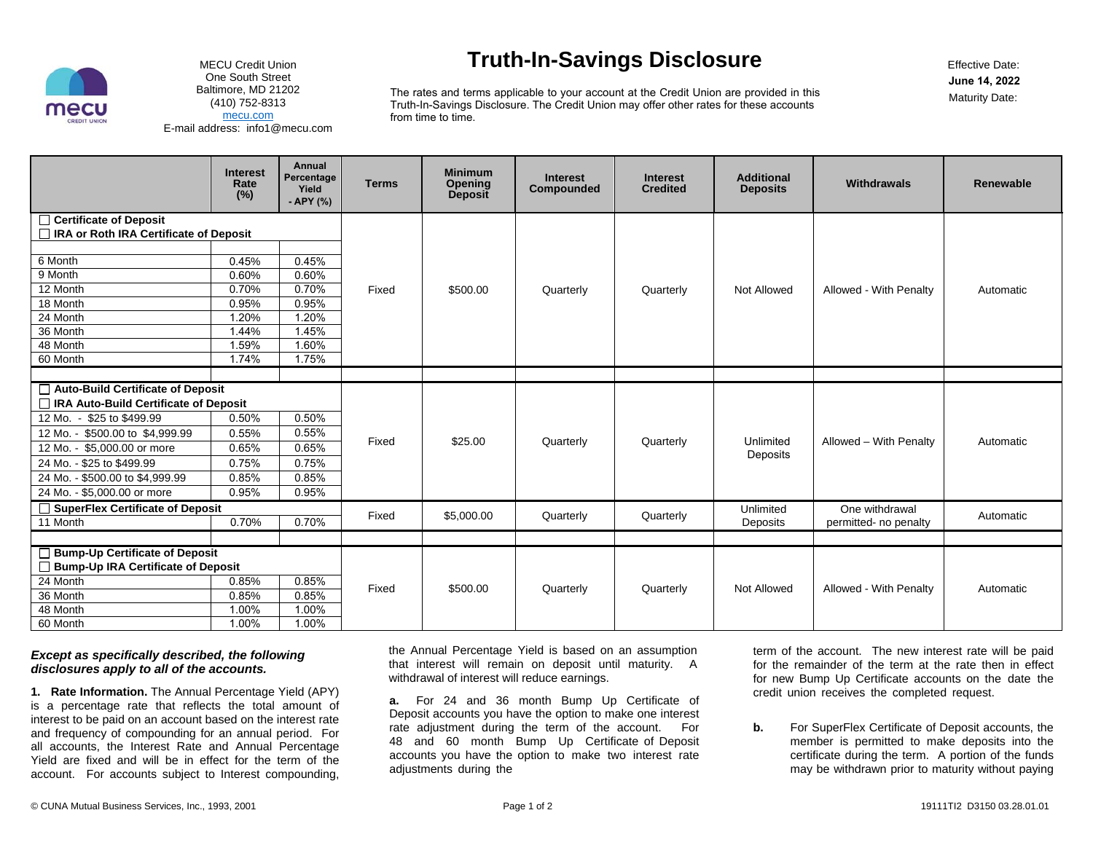

MECU Credit Union One South Street Baltimore, MD 21202 (410) 752-8313 [mecu.com](https://mecu.com)E-mail address: [info1@mecu.com](mailto:info1@mecu.com)

### **Truth-In-Savings Disclosure**

Effective Date:**June 14, 2022**Maturity Date:

The rates and terms applicable to your account at the Credit Union are provided in this Truth-In-Savings Disclosure. The Credit Union may offer other rates for these accounts from time to time.

|                                                                      | <b>Interest</b><br>Rate<br>(%) | <b>Annual</b><br>Percentage<br>Yield<br>- APY (%) | <b>Terms</b> | <b>Minimum</b><br>Opening<br>Deposit | <b>Interest</b><br>Compounded | <b>Interest</b><br><b>Credited</b> | <b>Additional</b><br><b>Deposits</b> | Withdrawals            | Renewable |
|----------------------------------------------------------------------|--------------------------------|---------------------------------------------------|--------------|--------------------------------------|-------------------------------|------------------------------------|--------------------------------------|------------------------|-----------|
| □ Certificate of Deposit<br>□ IRA or Roth IRA Certificate of Deposit |                                |                                                   |              |                                      |                               |                                    |                                      |                        |           |
|                                                                      |                                |                                                   |              |                                      |                               |                                    |                                      |                        |           |
| 6 Month                                                              | 0.45%                          | 0.45%                                             | Fixed        | \$500.00                             | Quarterly                     | Quarterly                          | Not Allowed                          | Allowed - With Penalty | Automatic |
| 9 Month                                                              | 0.60%                          | 0.60%                                             |              |                                      |                               |                                    |                                      |                        |           |
| 12 Month                                                             | 0.70%                          | 0.70%                                             |              |                                      |                               |                                    |                                      |                        |           |
| 18 Month                                                             | 0.95%                          | 0.95%                                             |              |                                      |                               |                                    |                                      |                        |           |
| 24 Month                                                             | 1.20%                          | 1.20%                                             |              |                                      |                               |                                    |                                      |                        |           |
| 36 Month                                                             | 1.44%                          | 1.45%                                             |              |                                      |                               |                                    |                                      |                        |           |
| 48 Month                                                             | 1.59%                          | 1.60%                                             |              |                                      |                               |                                    |                                      |                        |           |
| 60 Month                                                             | 1.74%                          | 1.75%                                             |              |                                      |                               |                                    |                                      |                        |           |
|                                                                      |                                |                                                   |              |                                      |                               |                                    |                                      |                        |           |
| □ Auto-Build Certificate of Deposit                                  |                                |                                                   |              |                                      |                               |                                    |                                      |                        |           |
| □ IRA Auto-Build Certificate of Deposit                              |                                |                                                   |              |                                      |                               |                                    |                                      |                        |           |
| 12 Mo. - \$25 to \$499.99                                            | 0.50%                          | 0.50%                                             | Fixed        | \$25.00                              | Quarterly                     | Quarterly                          | Unlimited<br>Deposits                | Allowed - With Penalty | Automatic |
| \$500.00 to \$4,999.99<br>12 Mo. -                                   | 0.55%                          | 0.55%                                             |              |                                      |                               |                                    |                                      |                        |           |
| \$5,000,00 or more<br>12 Mo.                                         | 0.65%                          | 0.65%                                             |              |                                      |                               |                                    |                                      |                        |           |
| 24 Mo. - \$25 to \$499.99                                            | 0.75%                          | 0.75%                                             |              |                                      |                               |                                    |                                      |                        |           |
| 24 Mo. - \$500.00 to \$4,999.99                                      | 0.85%                          | 0.85%                                             |              |                                      |                               |                                    |                                      |                        |           |
| 24 Mo. - \$5,000.00 or more                                          | 0.95%                          | 0.95%                                             |              |                                      |                               |                                    |                                      |                        |           |
| $\Box$ SuperFlex Certificate of Deposit                              |                                |                                                   | Fixed        | \$5,000.00                           | Quarterly                     | Quarterly                          | Unlimited                            | One withdrawal         | Automatic |
| 11 Month                                                             | 0.70%                          | 0.70%                                             |              |                                      |                               |                                    | Deposits                             | permitted- no penalty  |           |
|                                                                      |                                |                                                   |              |                                      |                               |                                    |                                      |                        |           |
| $\Box$ Bump-Up Certificate of Deposit                                |                                |                                                   |              |                                      |                               |                                    |                                      |                        |           |
| Bump-Up IRA Certificate of Deposit                                   |                                |                                                   |              |                                      |                               |                                    |                                      |                        |           |
| 24 Month                                                             | 0.85%                          | 0.85%                                             | Fixed        | \$500.00                             | Quarterly                     | Quarterly                          | Not Allowed                          | Allowed - With Penalty | Automatic |
| 36 Month                                                             | 0.85%                          | 0.85%                                             |              |                                      |                               |                                    |                                      |                        |           |
| 48 Month                                                             | 1.00%                          | 1.00%                                             |              |                                      |                               |                                    |                                      |                        |           |
| 60 Month                                                             | 1.00%                          | 1.00%                                             |              |                                      |                               |                                    |                                      |                        |           |

#### *Except as specifically described, the following disclosures apply to all of the accounts.*

**1. Rate Information.** The Annual Percentage Yield (APY) is a percentage rate that reflects the total amount of interest to be paid on an account based on the interest rate and frequency of compounding for an annual period. For all accounts, the Interest Rate and Annual Percentage Yield are fixed and will be in effect for the term of the account. For accounts subject to Interest compounding,

the Annual Percentage Yield is based on an assumption that interest will remain on deposit until maturity. A withdrawal of interest will reduce earnings.

**a.** For 24 and 36 month Bump Up Certificate of Deposit accounts you have the option to make one interest rate adjustment during the term of the account. For 48 and 60 month Bump Up Certificate of Deposit accounts you have the option to make two interest rate adjustments during the

term of the account. The new interest rate will be paid for the remainder of the term at the rate then in effect for new Bump Up Certificate accounts on the date the credit union receives the completed request.

**b.** For SuperFlex Certificate of Deposit accounts, the member is permitted to make deposits into the certificate during the term. A portion of the funds may be withdrawn prior to maturity without paying